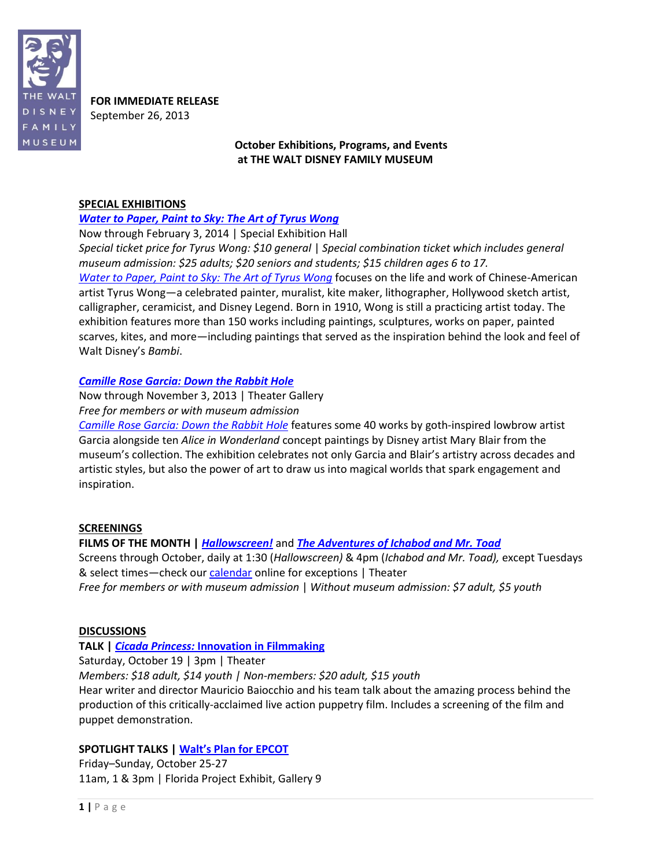

**FOR IMMEDIATE RELEASE** September 26, 2013

# **October Exhibitions, Programs, and Events at THE WALT DISNEY FAMILY MUSEUM**

#### **SPECIAL EXHIBITIONS**

## *[Water to Paper, Paint to Sky: The Art of Tyrus Wong](http://www.waltdisney.org/wong)*

Now through February 3, 2014 | Special Exhibition Hall *Special ticket price for Tyrus Wong: \$10 general* | *Special combination ticket which includes general museum admission: \$25 adults; \$20 seniors and students; \$15 children ages 6 to 17. [Water to Paper, Paint to Sky: The Art of Tyrus Wong](http://waltdisney.org/wong)* focuses on the life and work of Chinese-American artist Tyrus Wong—a celebrated painter, muralist, kite maker, lithographer, Hollywood sketch artist, calligrapher, ceramicist, and Disney Legend. Born in 1910, Wong is still a practicing artist today. The exhibition features more than 150 works including paintings, sculptures, works on paper, painted scarves, kites, and more—including paintings that served as the inspiration behind the look and feel of Walt Disney's *Bambi*.

# *[Camille Rose Garcia: Down the Rabbit Hole](http://www.waltdisney.org/garcia)*

Now through November 3, 2013 | Theater Gallery *Free for members or with museum admission*

*[Camille Rose Garcia: Down the Rabbit Hole](http://waltdisney.org/garcia)* features some 40 works by goth-inspired lowbrow artist Garcia alongside ten *Alice in Wonderland* concept paintings by Disney artist Mary Blair from the museum's collection. The exhibition celebrates not only Garcia and Blair's artistry across decades and artistic styles, but also the power of art to draw us into magical worlds that spark engagement and inspiration.

## **SCREENINGS**

# **FILMS OF THE MONTH |** *[Hallowscreen!](http://www.waltdisney.org/node/1154/0)* and *[The Adventures of Ichabod and Mr. Toad](http://www.waltdisney.org/node/1155/0)*

Screens through October, daily at 1:30 (*Hallowscreen)* & 4pm (*Ichabod and Mr. Toad),* except Tuesdays & select times—check our [calendar](http://www.waltdisney.org/calendar) online for exceptions | Theater

*Free for members or with museum admission* | *Without museum admission: \$7 adult, \$5 youth*

#### **DISCUSSIONS**

**TALK |** *Cicada Princess:* **[Innovation in Filmmaking](http://www.waltdisney.org/node/1158/0)**

Saturday, October 19 | 3pm | Theater

*Members: \$18 adult, \$14 youth | Non-members: \$20 adult, \$15 youth*

Hear writer and director Mauricio Baiocchio and his team talk about the amazing process behind the production of this critically-acclaimed live action puppetry film. Includes a screening of the film and puppet demonstration.

## **SPOTLIGHT TALKS | [Walt's Plan for EPCOT](http://www.waltdisney.org/node/1159/1)**

Friday–Sunday, October 25-27 11am, 1 & 3pm | Florida Project Exhibit, Gallery 9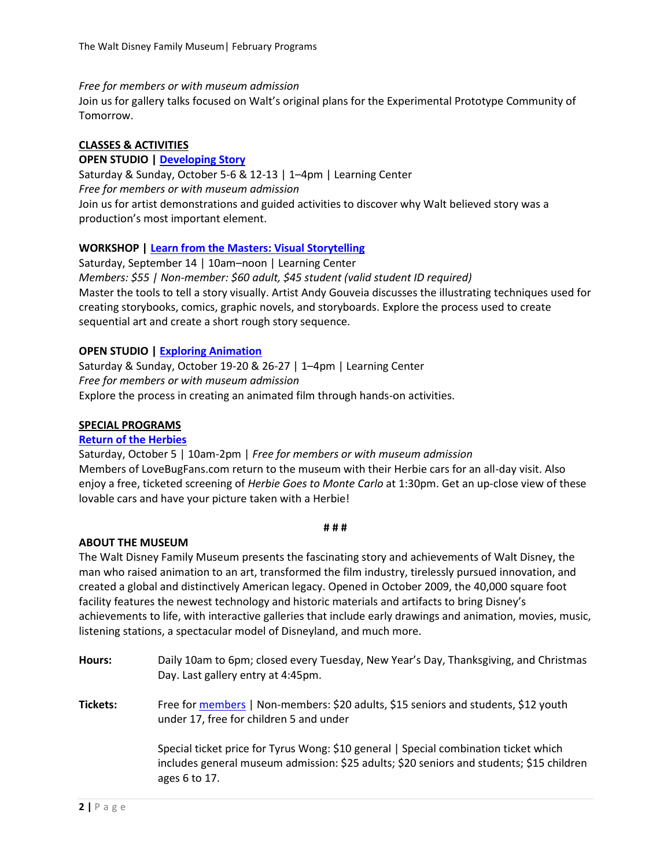*Free for members or with museum admission*

Join us for gallery talks focused on Walt's original plans for the Experimental Prototype Community of Tomorrow.

## **CLASSES & ACTIVITIES**

**OPEN STUDIO | [Developing Story](http://www.waltdisney.org/node/1160/0)** Saturday & Sunday, October 5-6 & 12-13 | 1–4pm | Learning Center *Free for members or with museum admission* Join us for artist demonstrations and guided activities to discover why Walt believed story was a production's most important element.

## **WORKSHOP | [Learn from the Masters: Visual Storytelling](http://www.waltdisney.org/node/1157/0)**

Saturday, September 14 | 10am–noon | Learning Center *Members: \$55 | Non-member: \$60 adult, \$45 student (valid student ID required)* Master the tools to tell a story visually. Artist Andy Gouveia discusses the illustrating techniques used for creating storybooks, comics, graphic novels, and storyboards. Explore the process used to create sequential art and create a short rough story sequence.

# **OPEN STUDIO [| Exploring Animation](http://www.waltdisney.org/node/1161/2)**

Saturday & Sunday, October 19-20 & 26-27 | 1–4pm | Learning Center *Free for members or with museum admission* Explore the process in creating an animated film through hands-on activities.

## **SPECIAL PROGRAMS**

#### **[Return of the Herbies](http://www.waltdisney.org/node/1156/0)**

Saturday, October 5 | 10am-2pm | *Free for members or with museum admission* Members of LoveBugFans.com return to the museum with their Herbie cars for an all-day visit. Also enjoy a free, ticketed screening of *Herbie Goes to Monte Carlo* at 1:30pm. Get an up-close view of these lovable cars and have your picture taken with a Herbie!

#### **# # #**

#### **ABOUT THE MUSEUM**

The Walt Disney Family Museum presents the fascinating story and achievements of Walt Disney, the man who raised animation to an art, transformed the film industry, tirelessly pursued innovation, and created a global and distinctively American legacy. Opened in October 2009, the 40,000 square foot facility features the newest technology and historic materials and artifacts to bring Disney's achievements to life, with interactive galleries that include early drawings and animation, movies, music, listening stations, a spectacular model of Disneyland, and much more.

**Hours:** Daily 10am to 6pm; closed every Tuesday, New Year's Day, Thanksgiving, and Christmas Day. Last gallery entry at 4:45pm. **Tickets:** Free for [members](http://www.waltdisney.org/membership) | Non-members: \$20 adults, \$15 seniors and students, \$12 youth under 17, free for children 5 and under Special ticket price for Tyrus Wong: \$10 general | Special combination ticket which includes general museum admission: \$25 adults; \$20 seniors and students; \$15 children ages 6 to 17.